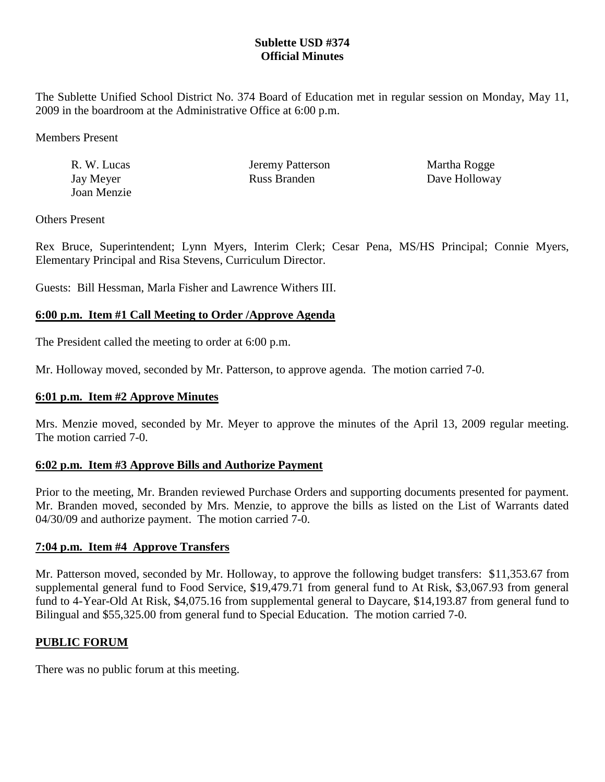# **Sublette USD #374 Official Minutes**

The Sublette Unified School District No. 374 Board of Education met in regular session on Monday, May 11, 2009 in the boardroom at the Administrative Office at 6:00 p.m.

Members Present

| R. W. Lucas | Jeremy Patterson | Martha Rogge  |
|-------------|------------------|---------------|
| Jay Meyer   | Russ Branden     | Dave Holloway |
| Joan Menzie |                  |               |

Others Present

Rex Bruce, Superintendent; Lynn Myers, Interim Clerk; Cesar Pena, MS/HS Principal; Connie Myers, Elementary Principal and Risa Stevens, Curriculum Director.

Guests: Bill Hessman, Marla Fisher and Lawrence Withers III.

### **6:00 p.m. Item #1 Call Meeting to Order /Approve Agenda**

The President called the meeting to order at 6:00 p.m.

Mr. Holloway moved, seconded by Mr. Patterson, to approve agenda. The motion carried 7-0.

## **6:01 p.m. Item #2 Approve Minutes**

Mrs. Menzie moved, seconded by Mr. Meyer to approve the minutes of the April 13, 2009 regular meeting. The motion carried 7-0.

## **6:02 p.m. Item #3 Approve Bills and Authorize Payment**

Prior to the meeting, Mr. Branden reviewed Purchase Orders and supporting documents presented for payment. Mr. Branden moved, seconded by Mrs. Menzie, to approve the bills as listed on the List of Warrants dated 04/30/09 and authorize payment. The motion carried 7-0.

#### **7:04 p.m. Item #4 Approve Transfers**

Mr. Patterson moved, seconded by Mr. Holloway, to approve the following budget transfers: \$11,353.67 from supplemental general fund to Food Service, \$19,479.71 from general fund to At Risk, \$3,067.93 from general fund to 4-Year-Old At Risk, \$4,075.16 from supplemental general to Daycare, \$14,193.87 from general fund to Bilingual and \$55,325.00 from general fund to Special Education. The motion carried 7-0.

## **PUBLIC FORUM**

There was no public forum at this meeting.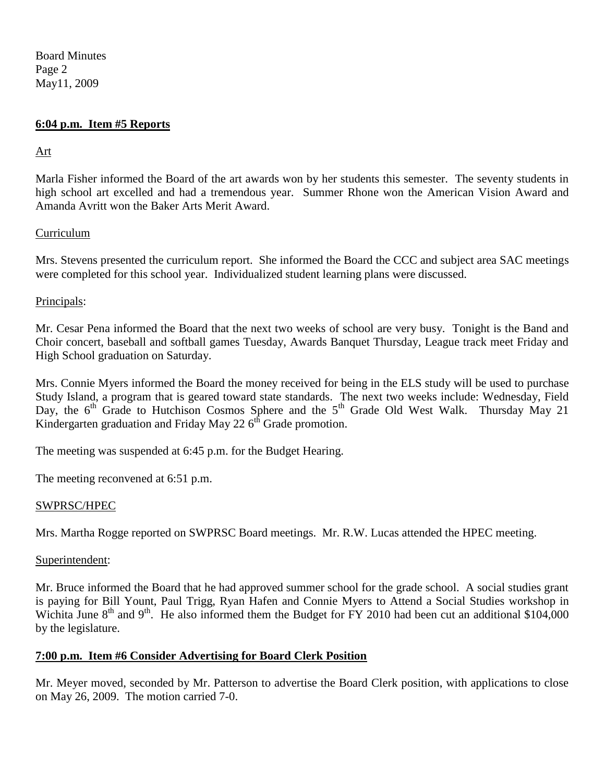Board Minutes Page 2 May11, 2009

### **6:04 p.m. Item #5 Reports**

Art

Marla Fisher informed the Board of the art awards won by her students this semester. The seventy students in high school art excelled and had a tremendous year. Summer Rhone won the American Vision Award and Amanda Avritt won the Baker Arts Merit Award.

### **Curriculum**

Mrs. Stevens presented the curriculum report. She informed the Board the CCC and subject area SAC meetings were completed for this school year. Individualized student learning plans were discussed.

#### Principals:

Mr. Cesar Pena informed the Board that the next two weeks of school are very busy. Tonight is the Band and Choir concert, baseball and softball games Tuesday, Awards Banquet Thursday, League track meet Friday and High School graduation on Saturday.

Mrs. Connie Myers informed the Board the money received for being in the ELS study will be used to purchase Study Island, a program that is geared toward state standards. The next two weeks include: Wednesday, Field Day, the  $6<sup>th</sup>$  Grade to Hutchison Cosmos Sphere and the  $5<sup>th</sup>$  Grade Old West Walk. Thursday May 21 Kindergarten graduation and Friday May 22  $6<sup>th</sup>$  Grade promotion.

The meeting was suspended at 6:45 p.m. for the Budget Hearing.

The meeting reconvened at 6:51 p.m.

#### SWPRSC/HPEC

Mrs. Martha Rogge reported on SWPRSC Board meetings. Mr. R.W. Lucas attended the HPEC meeting.

#### Superintendent:

Mr. Bruce informed the Board that he had approved summer school for the grade school. A social studies grant is paying for Bill Yount, Paul Trigg, Ryan Hafen and Connie Myers to Attend a Social Studies workshop in Wichita June  $8<sup>th</sup>$  and  $9<sup>th</sup>$ . He also informed them the Budget for FY 2010 had been cut an additional \$104,000 by the legislature.

## **7:00 p.m. Item #6 Consider Advertising for Board Clerk Position**

Mr. Meyer moved, seconded by Mr. Patterson to advertise the Board Clerk position, with applications to close on May 26, 2009. The motion carried 7-0.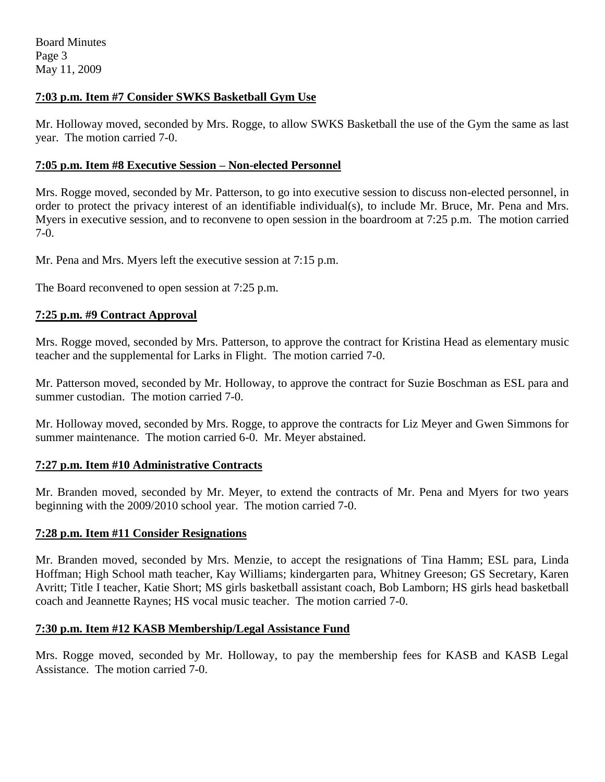Board Minutes Page 3 May 11, 2009

## **7:03 p.m. Item #7 Consider SWKS Basketball Gym Use**

Mr. Holloway moved, seconded by Mrs. Rogge, to allow SWKS Basketball the use of the Gym the same as last year. The motion carried 7-0.

#### **7:05 p.m. Item #8 Executive Session – Non-elected Personnel**

Mrs. Rogge moved, seconded by Mr. Patterson, to go into executive session to discuss non-elected personnel, in order to protect the privacy interest of an identifiable individual(s), to include Mr. Bruce, Mr. Pena and Mrs. Myers in executive session, and to reconvene to open session in the boardroom at 7:25 p.m. The motion carried 7-0.

Mr. Pena and Mrs. Myers left the executive session at 7:15 p.m.

The Board reconvened to open session at 7:25 p.m.

#### **7:25 p.m. #9 Contract Approval**

Mrs. Rogge moved, seconded by Mrs. Patterson, to approve the contract for Kristina Head as elementary music teacher and the supplemental for Larks in Flight. The motion carried 7-0.

Mr. Patterson moved, seconded by Mr. Holloway, to approve the contract for Suzie Boschman as ESL para and summer custodian. The motion carried 7-0.

Mr. Holloway moved, seconded by Mrs. Rogge, to approve the contracts for Liz Meyer and Gwen Simmons for summer maintenance. The motion carried 6-0. Mr. Meyer abstained.

#### **7:27 p.m. Item #10 Administrative Contracts**

Mr. Branden moved, seconded by Mr. Meyer, to extend the contracts of Mr. Pena and Myers for two years beginning with the 2009/2010 school year. The motion carried 7-0.

#### **7:28 p.m. Item #11 Consider Resignations**

Mr. Branden moved, seconded by Mrs. Menzie, to accept the resignations of Tina Hamm; ESL para, Linda Hoffman; High School math teacher, Kay Williams; kindergarten para, Whitney Greeson; GS Secretary, Karen Avritt; Title I teacher, Katie Short; MS girls basketball assistant coach, Bob Lamborn; HS girls head basketball coach and Jeannette Raynes; HS vocal music teacher. The motion carried 7-0.

#### **7:30 p.m. Item #12 KASB Membership/Legal Assistance Fund**

Mrs. Rogge moved, seconded by Mr. Holloway, to pay the membership fees for KASB and KASB Legal Assistance. The motion carried 7-0.